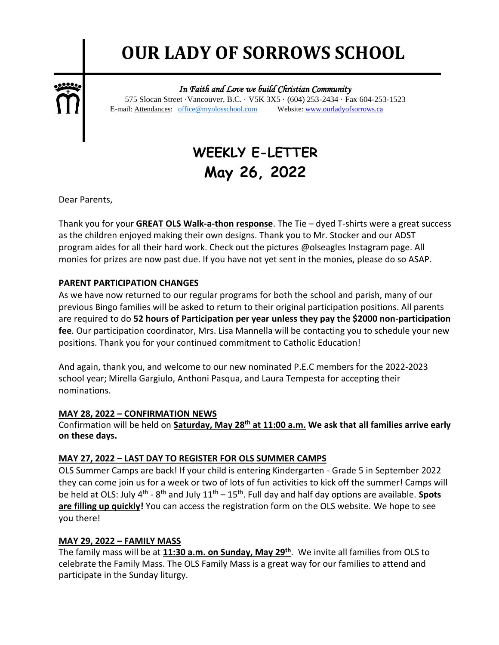# **OUR LADY OF SORROWS SCHOOL**

٦



 *In Faith and Love we build Christian Community*  575 Slocan Street ·Vancouver, B.C. · V5K 3X5 · (604) 253-2434 · Fax 604-253-1523 E-mail: Attendances: office@myolosschool.com Website: www.ourladyofsorrows.ca

## **WEEKLY E-LETTER May 26, 2022**

Dear Parents,

Thank you for your **GREAT OLS Walk-a-thon response**. The Tie – dyed T-shirts were a great success as the children enjoyed making their own designs. Thank you to Mr. Stocker and our ADST program aides for all their hard work. Check out the pictures @olseagles Instagram page. All monies for prizes are now past due. If you have not yet sent in the monies, please do so ASAP.

#### **PARENT PARTICIPATION CHANGES**

As we have now returned to our regular programs for both the school and parish, many of our previous Bingo families will be asked to return to their original participation positions. All parents are required to do **52 hours of Participation per year unless they pay the \$2000 non-participation fee**. Our participation coordinator, Mrs. Lisa Mannella will be contacting you to schedule your new positions. Thank you for your continued commitment to Catholic Education!

And again, thank you, and welcome to our new nominated P.E.C members for the 2022-2023 school year; Mirella Gargiulo, Anthoni Pasqua, and Laura Tempesta for accepting their nominations.

#### **MAY 28, 2022 – CONFIRMATION NEWS**

Confirmation will be held on **Saturday, May 28th at 11:00 a.m. We ask that all families arrive early on these days.**

#### **MAY 27, 2022 – LAST DAY TO REGISTER FOR OLS SUMMER CAMPS**

OLS Summer Camps are back! If your child is entering Kindergarten - Grade 5 in September 2022 they can come join us for a week or two of lots of fun activities to kick off the summer! Camps will be held at OLS: July 4<sup>th</sup> - 8<sup>th</sup> and July 11<sup>th</sup> – 15<sup>th</sup>. Full day and half day options are available. **Spots** are filling up quickly! You can access the registration form on the OLS website. We hope to see you there!

#### **MAY 29, 2022 – FAMILY MASS**

The family mass will be at **11:30 a.m. on Sunday, May 29th**. We invite all families from OLS to celebrate the Family Mass. The OLS Family Mass is a great way for our families to attend and participate in the Sunday liturgy.